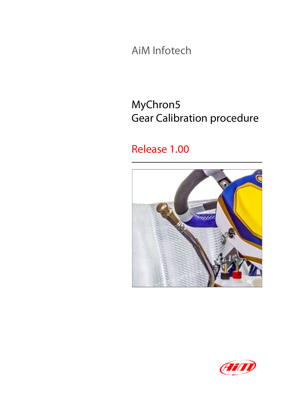AiM Infotech

## MyChron5 Gear Calibration procedure

#### Release 1.00



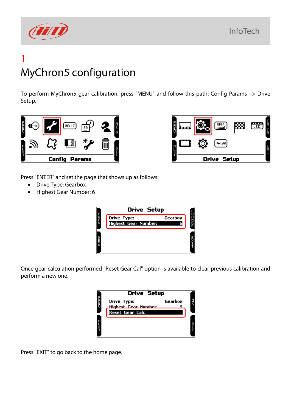# FFIT

# 1 MyChron5 configuration

To perform MyChron5 gear calibration, press "MENU" and follow this path: Config Params –> Drive Setup.





Press "ENTER" and set the page that shows up as follows:

- Drive Type: Gearbox
- Highest Gear Number: 6



Once gear calculation performed "Reset Gear Cal" option is available to clear previous calibration and perform a new one.

|                      | <b>Drive Setup</b>                             |         |  |
|----------------------|------------------------------------------------|---------|--|
| $C$ m $\overline{A}$ | Drive Type:                                    | Gearbox |  |
|                      | Highest Gear Number:<br><b>Reset Gear Calc</b> |         |  |
|                      |                                                |         |  |
| Е<br>Х               |                                                |         |  |
|                      |                                                |         |  |

Press "EXIT" to go back to the home page.